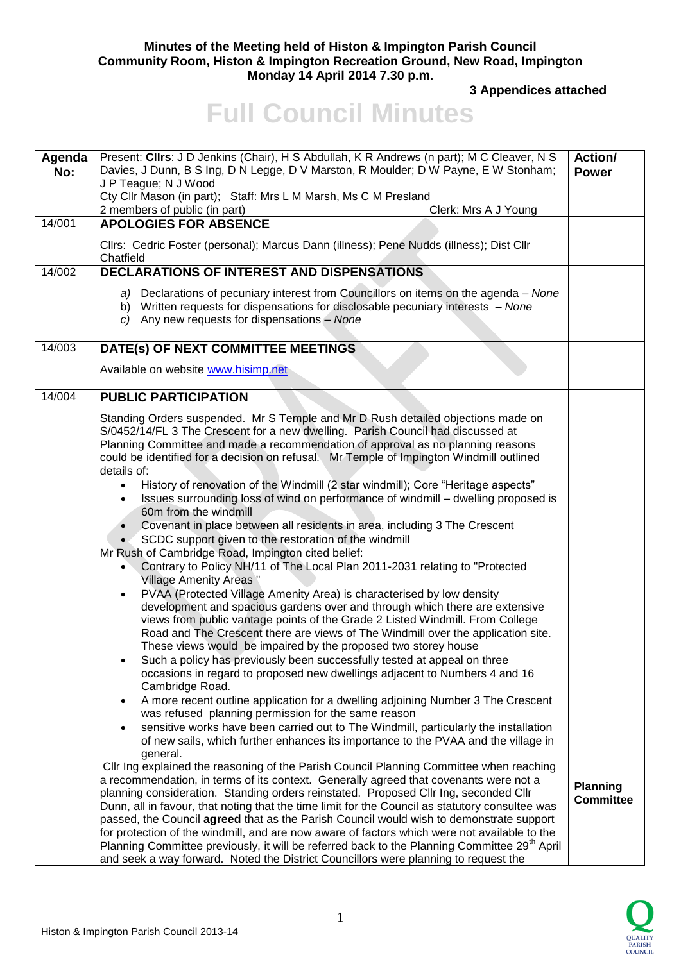## **Minutes of the Meeting held of Histon & Impington Parish Council Community Room, Histon & Impington Recreation Ground, New Road, Impington Monday 14 April 2014 7.30 p.m.**

**3 Appendices attached** 

## **Full Council Minutes**

| Agenda<br>No: | Present: Clirs: J D Jenkins (Chair), H S Abdullah, K R Andrews (n part); M C Cleaver, N S<br>Davies, J Dunn, B S Ing, D N Legge, D V Marston, R Moulder; D W Payne, E W Stonham;<br>J P Teague; N J Wood<br>Cty Cllr Mason (in part); Staff: Mrs L M Marsh, Ms C M Presland<br>2 members of public (in part)<br>Clerk: Mrs A J Young                                                                                                                                                                                                                                                                                                                                                                                                                                                                                                                                                                                                                                                                                                                                                                                                                                                                                                                                                                                                                                                                                                                                                                                                                                                                                                                                                                                                                                                                                                                                                                                                                                                                                                                                                                                                                                                                                                                                                                                                                                                                                                                                                                                                                                                                                                        | <b>Action/</b><br><b>Power</b>      |
|---------------|---------------------------------------------------------------------------------------------------------------------------------------------------------------------------------------------------------------------------------------------------------------------------------------------------------------------------------------------------------------------------------------------------------------------------------------------------------------------------------------------------------------------------------------------------------------------------------------------------------------------------------------------------------------------------------------------------------------------------------------------------------------------------------------------------------------------------------------------------------------------------------------------------------------------------------------------------------------------------------------------------------------------------------------------------------------------------------------------------------------------------------------------------------------------------------------------------------------------------------------------------------------------------------------------------------------------------------------------------------------------------------------------------------------------------------------------------------------------------------------------------------------------------------------------------------------------------------------------------------------------------------------------------------------------------------------------------------------------------------------------------------------------------------------------------------------------------------------------------------------------------------------------------------------------------------------------------------------------------------------------------------------------------------------------------------------------------------------------------------------------------------------------------------------------------------------------------------------------------------------------------------------------------------------------------------------------------------------------------------------------------------------------------------------------------------------------------------------------------------------------------------------------------------------------------------------------------------------------------------------------------------------------|-------------------------------------|
| 14/001        | <b>APOLOGIES FOR ABSENCE</b><br>Cllrs: Cedric Foster (personal); Marcus Dann (illness); Pene Nudds (illness); Dist Cllr<br>Chatfield                                                                                                                                                                                                                                                                                                                                                                                                                                                                                                                                                                                                                                                                                                                                                                                                                                                                                                                                                                                                                                                                                                                                                                                                                                                                                                                                                                                                                                                                                                                                                                                                                                                                                                                                                                                                                                                                                                                                                                                                                                                                                                                                                                                                                                                                                                                                                                                                                                                                                                        |                                     |
| 14/002        | <b>DECLARATIONS OF INTEREST AND DISPENSATIONS</b><br>a) Declarations of pecuniary interest from Councillors on items on the agenda – None<br>b) Written requests for dispensations for disclosable pecuniary interests - None<br>c) Any new requests for dispensations - None                                                                                                                                                                                                                                                                                                                                                                                                                                                                                                                                                                                                                                                                                                                                                                                                                                                                                                                                                                                                                                                                                                                                                                                                                                                                                                                                                                                                                                                                                                                                                                                                                                                                                                                                                                                                                                                                                                                                                                                                                                                                                                                                                                                                                                                                                                                                                               |                                     |
| 14/003        | DATE(s) OF NEXT COMMITTEE MEETINGS<br>Available on website www.hisimp.net                                                                                                                                                                                                                                                                                                                                                                                                                                                                                                                                                                                                                                                                                                                                                                                                                                                                                                                                                                                                                                                                                                                                                                                                                                                                                                                                                                                                                                                                                                                                                                                                                                                                                                                                                                                                                                                                                                                                                                                                                                                                                                                                                                                                                                                                                                                                                                                                                                                                                                                                                                   |                                     |
| 14/004        | <b>PUBLIC PARTICIPATION</b><br>Standing Orders suspended. Mr S Temple and Mr D Rush detailed objections made on<br>S/0452/14/FL 3 The Crescent for a new dwelling. Parish Council had discussed at<br>Planning Committee and made a recommendation of approval as no planning reasons<br>could be identified for a decision on refusal. Mr Temple of Impington Windmill outlined<br>details of:<br>History of renovation of the Windmill (2 star windmill); Core "Heritage aspects"<br>$\bullet$<br>Issues surrounding loss of wind on performance of windmill - dwelling proposed is<br>60m from the windmill<br>Covenant in place between all residents in area, including 3 The Crescent<br>SCDC support given to the restoration of the windmill<br>$\bullet$<br>Mr Rush of Cambridge Road, Impington cited belief:<br>Contrary to Policy NH/11 of The Local Plan 2011-2031 relating to "Protected<br>Village Amenity Areas"<br>PVAA (Protected Village Amenity Area) is characterised by low density<br>$\bullet$<br>development and spacious gardens over and through which there are extensive<br>views from public vantage points of the Grade 2 Listed Windmill. From College<br>Road and The Crescent there are views of The Windmill over the application site.<br>These views would be impaired by the proposed two storey house<br>Such a policy has previously been successfully tested at appeal on three<br>occasions in regard to proposed new dwellings adjacent to Numbers 4 and 16<br>Cambridge Road.<br>A more recent outline application for a dwelling adjoining Number 3 The Crescent<br>was refused planning permission for the same reason<br>sensitive works have been carried out to The Windmill, particularly the installation<br>of new sails, which further enhances its importance to the PVAA and the village in<br>general.<br>CIIr Ing explained the reasoning of the Parish Council Planning Committee when reaching<br>a recommendation, in terms of its context. Generally agreed that covenants were not a<br>planning consideration. Standing orders reinstated. Proposed Cllr Ing, seconded Cllr<br>Dunn, all in favour, that noting that the time limit for the Council as statutory consultee was<br>passed, the Council agreed that as the Parish Council would wish to demonstrate support<br>for protection of the windmill, and are now aware of factors which were not available to the<br>Planning Committee previously, it will be referred back to the Planning Committee 29 <sup>th</sup> April<br>and seek a way forward. Noted the District Councillors were planning to request the | <b>Planning</b><br><b>Committee</b> |